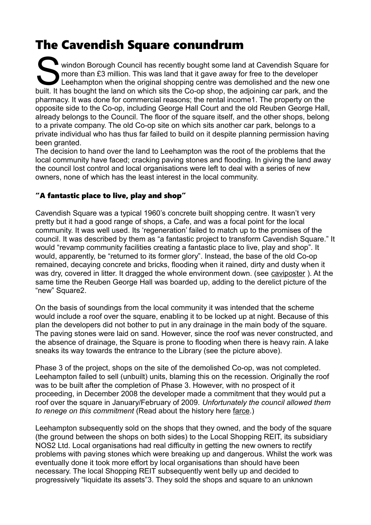## The Cavendish Square conundrum

windon Borough Council has recently bought some land at Cavendish Square for more than £3 million. This was land that it gave away for free to the developer Leehampton when the original shopping centre was demolished and the new one built. It has bought the land on which sits the Co-op shop, the adjoining car park, and the pharmacy. It was done for commercial reasons; the rental income1. The property on the opposite side to the Co-op, including George Hall Court and the old Reuben George Hall, already belongs to the Council. The floor of the square itself, and the other shops, belong to a private company. The old Co-op site on which sits another car park, belongs to a private individual who has thus far failed to build on it despite planning permission having been granted. S<br>Built It le

The decision to hand over the land to Leehampton was the root of the problems that the local community have faced; cracking paving stones and flooding. In giving the land away the council lost control and local organisations were left to deal with a series of new owners, none of which has the least interest in the local community.

## "A fantastic place to live, play and shop"

Cavendish Square was a typical 1960's concrete built shopping centre. It wasn't very pretty but it had a good range of shops, a Cafe, and was a focal point for the local community. It was well used. Its 'regeneration' failed to match up to the promises of the council. It was described by them as "a fantastic project to transform Cavendish Square." It would "revamp community facilities creating a fantastic place to live, play and shop". It would, apparently, be "returned to its former glory". Instead, the base of the old Co-op remained, decaying concrete and bricks, flooding when it rained, dirty and dusty when it was dry, covered in litter. It dragged the whole environment down. (see [caviposter](https://martinwicks.files.wordpress.com/2019/03/caviposter-1.pdf) ). At the same time the Reuben George Hall was boarded up, adding to the derelict picture of the "new" Square2.

On the basis of soundings from the local community it was intended that the scheme would include a roof over the square, enabling it to be locked up at night. Because of this plan the developers did not bother to put in any drainage in the main body of the square. The paving stones were laid on sand. However, since the roof was never constructed, and the absence of drainage, the Square is prone to flooding when there is heavy rain. A lake sneaks its way towards the entrance to the Library (see the picture above).

Phase 3 of the project, shops on the site of the demolished Co-op, was not completed. Leehampton failed to sell (unbuilt) units, blaming this on the recession. Originally the roof was to be built after the completion of Phase 3. However, with no prospect of it proceeding, in December 2008 the developer made a commitment that they would put a roof over the square in January/February of 2009. *Unfortunately the council allowed them to renege on this commitment* (Read about the history here [farce.](https://martinwicks.files.wordpress.com/2019/03/farce.pdf))

Leehampton subsequently sold on the shops that they owned, and the body of the square (the ground between the shops on both sides) to the Local Shopping REIT, its subsidiary NOS2 Ltd. Local organisations had real difficulty in getting the new owners to rectify problems with paving stones which were breaking up and dangerous. Whilst the work was eventually done it took more effort by local organisations than should have been necessary. The local Shopping REIT subsequently went belly up and decided to progressively "liquidate its assets"3. They sold the shops and square to an unknown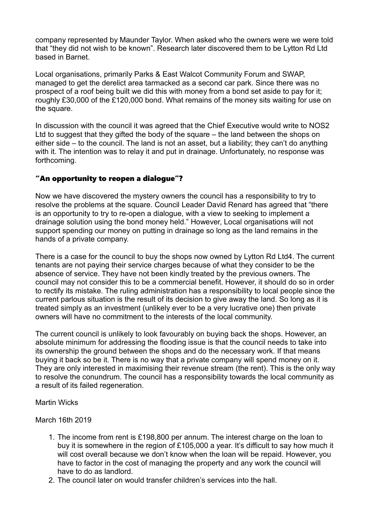company represented by Maunder Taylor. When asked who the owners were we were told that "they did not wish to be known". Research later discovered them to be Lytton Rd Ltd based in Barnet.

Local organisations, primarily Parks & East Walcot Community Forum and SWAP, managed to get the derelict area tarmacked as a second car park. Since there was no prospect of a roof being built we did this with money from a bond set aside to pay for it; roughly £30,000 of the £120,000 bond. What remains of the money sits waiting for use on the square.

In discussion with the council it was agreed that the Chief Executive would write to NOS2 Ltd to suggest that they gifted the body of the square – the land between the shops on either side – to the council. The land is not an asset, but a liability; they can't do anything with it. The intention was to relay it and put in drainage. Unfortunately, no response was forthcoming.

## "An opportunity to reopen a dialogue"?

Now we have discovered the mystery owners the council has a responsibility to try to resolve the problems at the square. Council Leader David Renard has agreed that "there is an opportunity to try to re-open a dialogue, with a view to seeking to implement a drainage solution using the bond money held." However, Local organisations will not support spending our money on putting in drainage so long as the land remains in the hands of a private company.

There is a case for the council to buy the shops now owned by Lytton Rd Ltd4. The current tenants are not paying their service charges because of what they consider to be the absence of service. They have not been kindly treated by the previous owners. The council may not consider this to be a commercial benefit. However, it should do so in order to rectify its mistake. The ruling administration has a responsibility to local people since the current parlous situation is the result of its decision to give away the land. So long as it is treated simply as an investment (unlikely ever to be a very lucrative one) then private owners will have no commitment to the interests of the local community.

The current council is unlikely to look favourably on buying back the shops. However, an absolute minimum for addressing the flooding issue is that the council needs to take into its ownership the ground between the shops and do the necessary work. If that means buying it back so be it. There is no way that a private company will spend money on it. They are only interested in maximising their revenue stream (the rent). This is the only way to resolve the conundrum. The council has a responsibility towards the local community as a result of its failed regeneration.

Martin Wicks

## March 16th 2019

- 1. The income from rent is £198,800 per annum. The interest charge on the loan to buy it is somewhere in the region of £105,000 a year. It's difficult to say how much it will cost overall because we don't know when the loan will be repaid. However, you have to factor in the cost of managing the property and any work the council will have to do as landlord.
- 2. The council later on would transfer children's services into the hall.